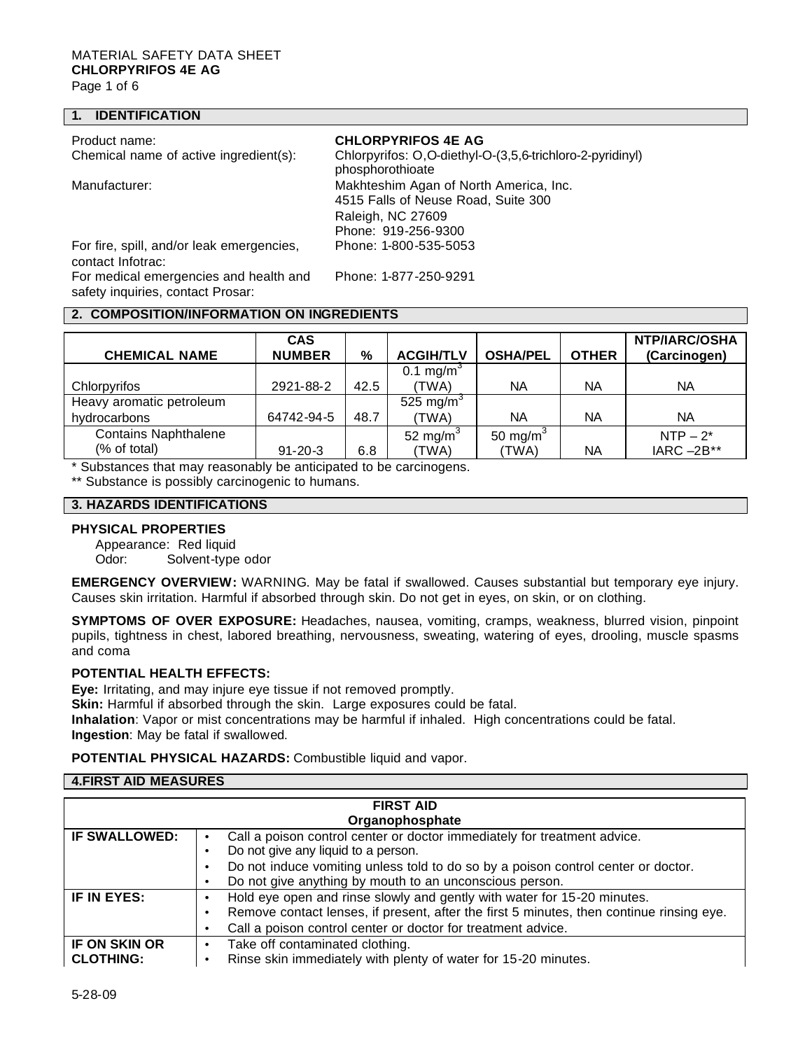#### **1. IDENTIFICATION**

#### Product name: **CHLORPYRIFOS 4E AG**

| Chemical name of active ingredient(s): |  |
|----------------------------------------|--|

Chlorpyrifos: O,O-diethyl-O-(3,5,6-trichloro-2-pyridinyl) phosphorothioate Manufacturer: Makhteshim Agan of North America, Inc. 4515 Falls of Neuse Road, Suite 300 Raleigh, NC 27609 Phone: 919-256-9300 Phone: 1-800-535-5053

For fire, spill, and/or leak emergencies, contact Infotrac:

For medical emergencies and health and safety inquiries, contact Prosar:

Phone: 1-877-250-9291

## **2. COMPOSITION/INFORMATION ON INGREDIENTS**

| <b>CHEMICAL NAME</b>        | <b>CAS</b><br><b>NUMBER</b> | %    | <b>ACGIH/TLV</b>      | <b>OSHA/PEL</b>      | <b>OTHER</b> | <b>NTP/IARC/OSHA</b><br>(Carcinogen) |
|-----------------------------|-----------------------------|------|-----------------------|----------------------|--------------|--------------------------------------|
|                             |                             |      | 0.1 mg/m <sup>3</sup> |                      |              |                                      |
| Chlorpyrifos                | 2921-88-2                   | 42.5 | 'TWA)                 | NA                   | <b>NA</b>    | NA                                   |
| Heavy aromatic petroleum    |                             |      | 525 mg/m <sup>3</sup> |                      |              |                                      |
| hydrocarbons                | 64742-94-5                  | 48.7 | (TWA)                 | ΝA                   | <b>NA</b>    | NA                                   |
| <b>Contains Naphthalene</b> |                             |      | 52 mg/m $3$           | 50 mg/m <sup>3</sup> |              | $NTP - 2^*$                          |
| (% of total)                | $91 - 20 - 3$               | 6.8  | (TWA)                 | (TWA)                | <b>NA</b>    | IARC $-2B**$                         |

\* Substances that may reasonably be anticipated to be carcinogens.

\*\* Substance is possibly carcinogenic to humans.

## **3. HAZARDS IDENTIFICATIONS**

#### **PHYSICAL PROPERTIES**

Appearance: Red liquid Odor: Solvent-type odor

**EMERGENCY OVERVIEW:** WARNING. May be fatal if swallowed. Causes substantial but temporary eye injury. Causes skin irritation. Harmful if absorbed through skin. Do not get in eyes, on skin, or on clothing.

**SYMPTOMS OF OVER EXPOSURE:** Headaches, nausea, vomiting, cramps, weakness, blurred vision, pinpoint pupils, tightness in chest, labored breathing, nervousness, sweating, watering of eyes, drooling, muscle spasms and coma

#### **POTENTIAL HEALTH EFFECTS:**

**Eye:** Irritating, and may injure eye tissue if not removed promptly.

**Skin:** Harmful if absorbed through the skin. Large exposures could be fatal.

**Inhalation**: Vapor or mist concentrations may be harmful if inhaled. High concentrations could be fatal. **Ingestion**: May be fatal if swallowed.

**POTENTIAL PHYSICAL HAZARDS:** Combustible liquid and vapor.

#### **4.FIRST AID MEASURES**

| <b>FIRST AID</b>     |                                                                                               |  |  |  |  |
|----------------------|-----------------------------------------------------------------------------------------------|--|--|--|--|
| Organophosphate      |                                                                                               |  |  |  |  |
| <b>IF SWALLOWED:</b> | Call a poison control center or doctor immediately for treatment advice.<br>٠                 |  |  |  |  |
|                      | Do not give any liquid to a person.<br>$\bullet$                                              |  |  |  |  |
|                      | Do not induce vomiting unless told to do so by a poison control center or doctor.<br>٠        |  |  |  |  |
|                      | Do not give anything by mouth to an unconscious person.<br>٠                                  |  |  |  |  |
| IF IN EYES:          | Hold eye open and rinse slowly and gently with water for 15-20 minutes.<br>٠                  |  |  |  |  |
|                      | Remove contact lenses, if present, after the first 5 minutes, then continue rinsing eye.<br>٠ |  |  |  |  |
|                      | Call a poison control center or doctor for treatment advice.<br>٠                             |  |  |  |  |
| IF ON SKIN OR        | Take off contaminated clothing.<br>$\bullet$                                                  |  |  |  |  |
| <b>CLOTHING:</b>     | Rinse skin immediately with plenty of water for 15-20 minutes.<br>$\bullet$                   |  |  |  |  |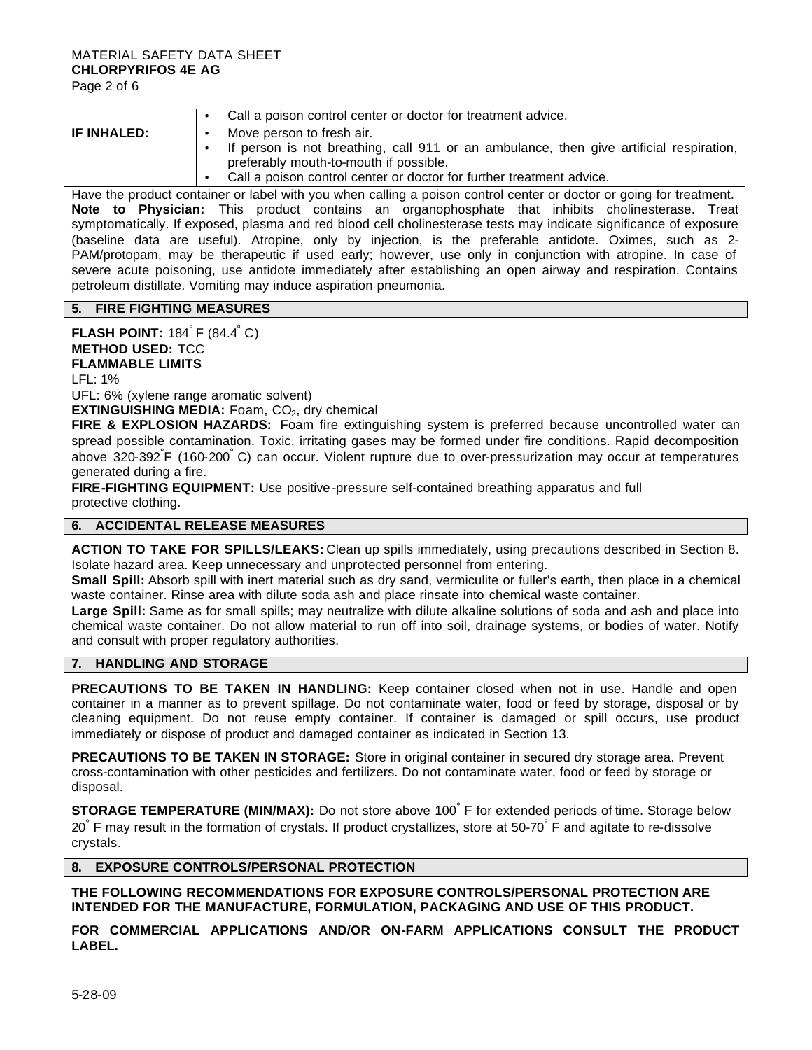|                    | Call a poison control center or doctor for treatment advice.                                                                                                                                                                           |
|--------------------|----------------------------------------------------------------------------------------------------------------------------------------------------------------------------------------------------------------------------------------|
| <b>IF INHALED:</b> | Move person to fresh air.<br>If person is not breathing, call 911 or an ambulance, then give artificial respiration,<br>preferably mouth-to-mouth if possible.<br>Call a poison control center or doctor for further treatment advice. |
|                    |                                                                                                                                                                                                                                        |
|                    | There also was directed as a state of the bird in the controllers was assembled as a state of the state for an easy of the state of                                                                                                    |

Have the product container or label with you when calling a poison control center or doctor or going for treatment. **Note to Physician:** This product contains an organophosphate that inhibits cholinesterase. Treat symptomatically. If exposed, plasma and red blood cell cholinesterase tests may indicate significance of exposure (baseline data are useful). Atropine, only by injection, is the preferable antidote. Oximes, such as 2- PAM/protopam, may be therapeutic if used early; however, use only in conjunction with atropine. In case of severe acute poisoning, use antidote immediately after establishing an open airway and respiration. Contains petroleum distillate. Vomiting may induce aspiration pneumonia.

## **5. FIRE FIGHTING MEASURES**

**FLASH POINT:** 184<sup>°</sup> F (84.4<sup>°</sup> C) **METHOD USED:** TCC **FLAMMABLE LIMITS**

LFL: 1%

UFL: 6% (xylene range aromatic solvent)

**EXTINGUISHING MEDIA:** Foam, CO<sub>2</sub>, dry chemical

**FIRE & EXPLOSION HAZARDS:** Foam fire extinguishing system is preferred because uncontrolled water can spread possible contamination. Toxic, irritating gases may be formed under fire conditions. Rapid decomposition above 320-392° F (160-200° C) can occur. Violent rupture due to over-pressurization may occur at temperatures generated during a fire.

**FIRE-FIGHTING EQUIPMENT:** Use positive -pressure self-contained breathing apparatus and full protective clothing.

## **6. ACCIDENTAL RELEASE MEASURES**

**ACTION TO TAKE FOR SPILLS/LEAKS:** Clean up spills immediately, using precautions described in Section 8. Isolate hazard area. Keep unnecessary and unprotected personnel from entering.

**Small Spill:** Absorb spill with inert material such as dry sand, vermiculite or fuller's earth, then place in a chemical waste container. Rinse area with dilute soda ash and place rinsate into chemical waste container.

**Large Spill:** Same as for small spills; may neutralize with dilute alkaline solutions of soda and ash and place into chemical waste container. Do not allow material to run off into soil, drainage systems, or bodies of water. Notify and consult with proper regulatory authorities.

## **7. HANDLING AND STORAGE**

**PRECAUTIONS TO BE TAKEN IN HANDLING:** Keep container closed when not in use. Handle and open container in a manner as to prevent spillage. Do not contaminate water, food or feed by storage, disposal or by cleaning equipment. Do not reuse empty container. If container is damaged or spill occurs, use product immediately or dispose of product and damaged container as indicated in Section 13.

**PRECAUTIONS TO BE TAKEN IN STORAGE:** Store in original container in secured dry storage area. Prevent cross-contamination with other pesticides and fertilizers. Do not contaminate water, food or feed by storage or disposal.

**STORAGE TEMPERATURE (MIN/MAX):** Do not store above 100° F for extended periods of time. Storage below 20° F may result in the formation of crystals. If product crystallizes, store at 50-70° F and agitate to re-dissolve crystals.

## **8. EXPOSURE CONTROLS/PERSONAL PROTECTION**

**THE FOLLOWING RECOMMENDATIONS FOR EXPOSURE CONTROLS/PERSONAL PROTECTION ARE INTENDED FOR THE MANUFACTURE, FORMULATION, PACKAGING AND USE OF THIS PRODUCT.**

**FOR COMMERCIAL APPLICATIONS AND/OR ON-FARM APPLICATIONS CONSULT THE PRODUCT LABEL.**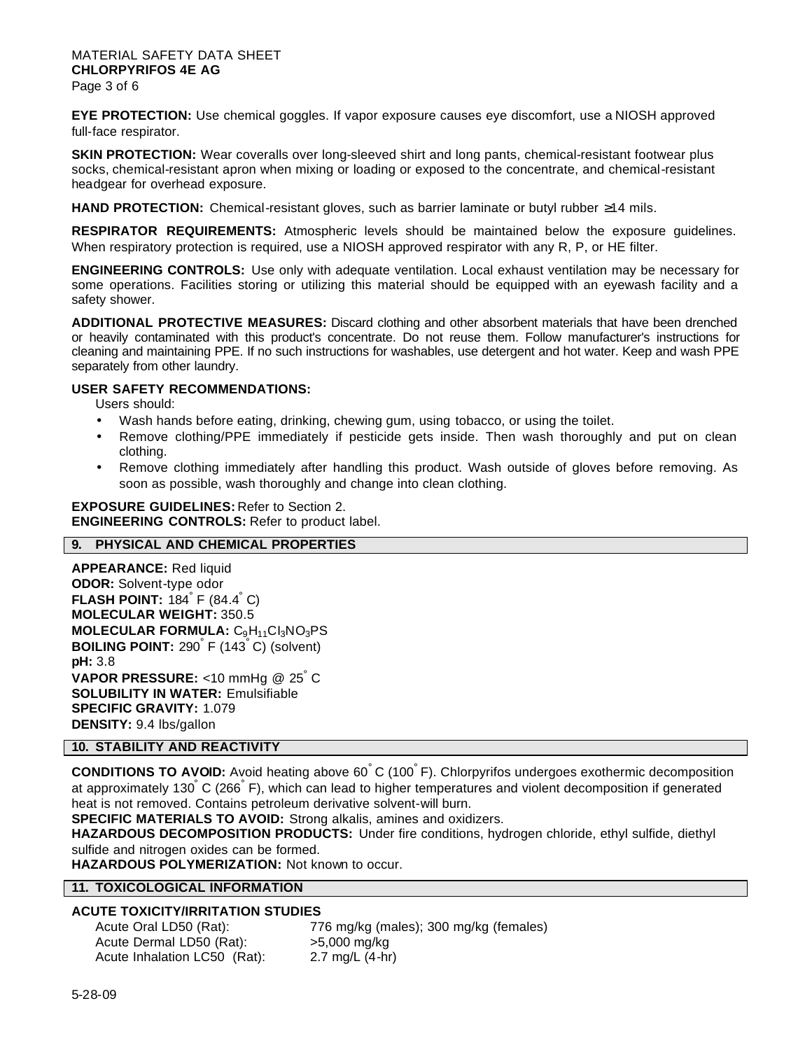# MATERIAL SAFETY DATA SHEET **CHLORPYRIFOS 4E AG**

Page 3 of 6

**EYE PROTECTION:** Use chemical goggles. If vapor exposure causes eye discomfort, use a NIOSH approved full-face respirator.

**SKIN PROTECTION:** Wear coveralls over long-sleeved shirt and long pants, chemical-resistant footwear plus socks, chemical-resistant apron when mixing or loading or exposed to the concentrate, and chemical-resistant headgear for overhead exposure.

**HAND PROTECTION:** Chemical-resistant gloves, such as barrier laminate or butyl rubber ≥14 mils.

**RESPIRATOR REQUIREMENTS:** Atmospheric levels should be maintained below the exposure guidelines. When respiratory protection is required, use a NIOSH approved respirator with any R, P, or HE filter.

**ENGINEERING CONTROLS:** Use only with adequate ventilation. Local exhaust ventilation may be necessary for some operations. Facilities storing or utilizing this material should be equipped with an eyewash facility and a safety shower.

**ADDITIONAL PROTECTIVE MEASURES:** Discard clothing and other absorbent materials that have been drenched or heavily contaminated with this product's concentrate. Do not reuse them. Follow manufacturer's instructions for cleaning and maintaining PPE. If no such instructions for washables, use detergent and hot water. Keep and wash PPE separately from other laundry.

## **USER SAFETY RECOMMENDATIONS:**

Users should:

- Wash hands before eating, drinking, chewing gum, using tobacco, or using the toilet.
- Remove clothing/PPE immediately if pesticide gets inside. Then wash thoroughly and put on clean clothing.
- Remove clothing immediately after handling this product. Wash outside of gloves before removing. As soon as possible, wash thoroughly and change into clean clothing.

#### **EXPOSURE GUIDELINES:** Refer to Section 2. **ENGINEERING CONTROLS:** Refer to product label.

## **9. PHYSICAL AND CHEMICAL PROPERTIES**

**APPEARANCE:** Red liquid **ODOR:** Solvent-type odor **FLASH POINT:** 184<sup>°</sup> F (84.4<sup>°</sup> C) **MOLECULAR WEIGHT:** 350.5 **MOLECULAR FORMULA:** C<sub>9</sub>H<sub>11</sub>Cl<sub>3</sub>NO<sub>3</sub>PS **BOILING POINT:** 290<sup>°</sup> F (143<sup>°</sup> C) (solvent) **pH:** 3.8 **VAPOR PRESSURE:** <10 mmHg @ 25° C **SOLUBILITY IN WATER:** Emulsifiable **SPECIFIC GRAVITY:** 1.079 **DENSITY:** 9.4 lbs/gallon

## **10. STABILITY AND REACTIVITY**

**CONDITIONS TO AVOID:** Avoid heating above 60° C (100° F). Chlorpyrifos undergoes exothermic decomposition at approximately 130° C (266° F), which can lead to higher temperatures and violent decomposition if generated heat is not removed. Contains petroleum derivative solvent-will burn.

**SPECIFIC MATERIALS TO AVOID:** Strong alkalis, amines and oxidizers.

**HAZARDOUS DECOMPOSITION PRODUCTS:** Under fire conditions, hydrogen chloride, ethyl sulfide, diethyl sulfide and nitrogen oxides can be formed.

**HAZARDOUS POLYMERIZATION:** Not known to occur.

#### **11. TOXICOLOGICAL INFORMATION**

## **ACUTE TOXICITY/IRRITATION STUDIES**

Acute Dermal LD50 (Rat): >5,000 mg/kg Acute Inhalation LC50 (Rat): 2.7 mg/L (4-hr)

Acute Oral LD50 (Rat): 776 mg/kg (males); 300 mg/kg (females)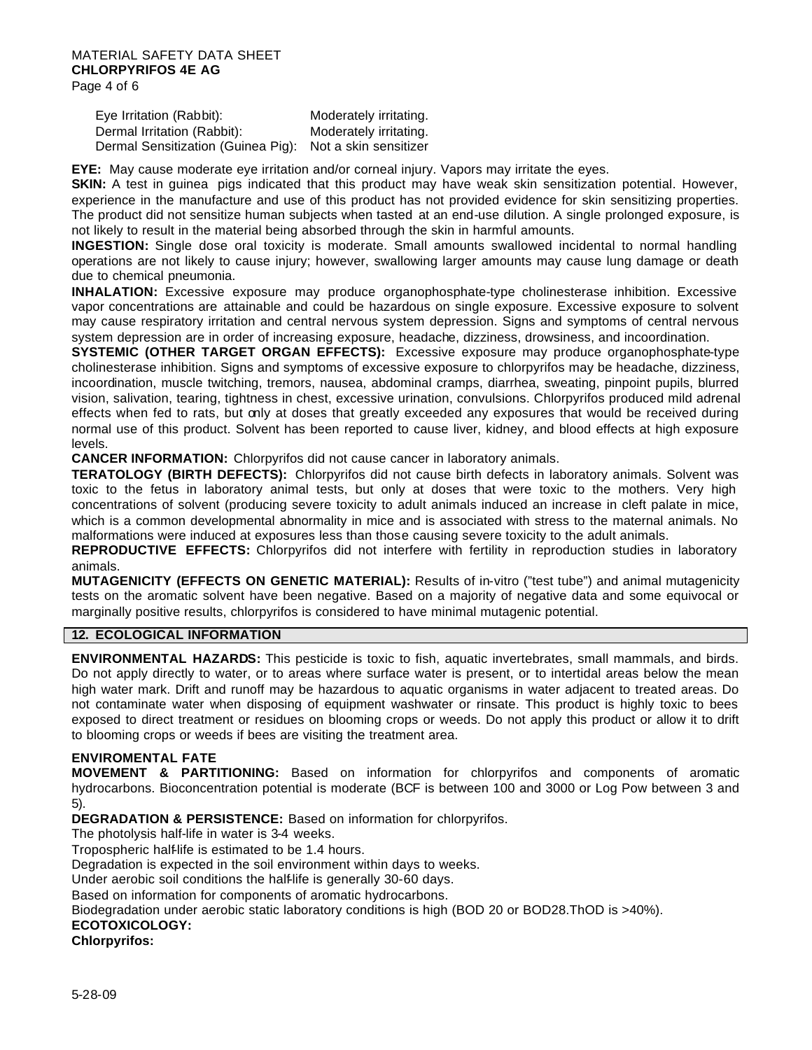| Eye Irritation (Rabbit):                                 | Moderately irritating. |
|----------------------------------------------------------|------------------------|
| Dermal Irritation (Rabbit):                              | Moderately irritating. |
| Dermal Sensitization (Guinea Pig): Not a skin sensitizer |                        |

**EYE:** May cause moderate eye irritation and/or corneal injury. Vapors may irritate the eyes.

**SKIN:** A test in guinea pigs indicated that this product may have weak skin sensitization potential. However, experience in the manufacture and use of this product has not provided evidence for skin sensitizing properties. The product did not sensitize human subjects when tasted at an end-use dilution. A single prolonged exposure, is not likely to result in the material being absorbed through the skin in harmful amounts.

**INGESTION:** Single dose oral toxicity is moderate. Small amounts swallowed incidental to normal handling operations are not likely to cause injury; however, swallowing larger amounts may cause lung damage or death due to chemical pneumonia.

**INHALATION:** Excessive exposure may produce organophosphate-type cholinesterase inhibition. Excessive vapor concentrations are attainable and could be hazardous on single exposure. Excessive exposure to solvent may cause respiratory irritation and central nervous system depression. Signs and symptoms of central nervous system depression are in order of increasing exposure, headache, dizziness, drowsiness, and incoordination.

**SYSTEMIC (OTHER TARGET ORGAN EFFECTS):** Excessive exposure may produce organophosphate-type cholinesterase inhibition. Signs and symptoms of excessive exposure to chlorpyrifos may be headache, dizziness, incoordination, muscle twitching, tremors, nausea, abdominal cramps, diarrhea, sweating, pinpoint pupils, blurred vision, salivation, tearing, tightness in chest, excessive urination, convulsions. Chlorpyrifos produced mild adrenal effects when fed to rats, but only at doses that greatly exceeded any exposures that would be received during normal use of this product. Solvent has been reported to cause liver, kidney, and blood effects at high exposure levels.

**CANCER INFORMATION:** Chlorpyrifos did not cause cancer in laboratory animals.

**TERATOLOGY (BIRTH DEFECTS):** Chlorpyrifos did not cause birth defects in laboratory animals. Solvent was toxic to the fetus in laboratory animal tests, but only at doses that were toxic to the mothers. Very high concentrations of solvent (producing severe toxicity to adult animals induced an increase in cleft palate in mice, which is a common developmental abnormality in mice and is associated with stress to the maternal animals. No malformations were induced at exposures less than those causing severe toxicity to the adult animals.

**REPRODUCTIVE EFFECTS:** Chlorpyrifos did not interfere with fertility in reproduction studies in laboratory animals.

**MUTAGENICITY (EFFECTS ON GENETIC MATERIAL):** Results of in-vitro ("test tube") and animal mutagenicity tests on the aromatic solvent have been negative. Based on a majority of negative data and some equivocal or marginally positive results, chlorpyrifos is considered to have minimal mutagenic potential.

## **12. ECOLOGICAL INFORMATION**

**ENVIRONMENTAL HAZARDS:** This pesticide is toxic to fish, aquatic invertebrates, small mammals, and birds. Do not apply directly to water, or to areas where surface water is present, or to intertidal areas below the mean high water mark. Drift and runoff may be hazardous to aquatic organisms in water adjacent to treated areas. Do not contaminate water when disposing of equipment washwater or rinsate. This product is highly toxic to bees exposed to direct treatment or residues on blooming crops or weeds. Do not apply this product or allow it to drift to blooming crops or weeds if bees are visiting the treatment area.

## **ENVIROMENTAL FATE**

**MOVEMENT & PARTITIONING:** Based on information for chlorpyrifos and components of aromatic hydrocarbons. Bioconcentration potential is moderate (BCF is between 100 and 3000 or Log Pow between 3 and 5).

**DEGRADATION & PERSISTENCE:** Based on information for chlorpyrifos.

The photolysis half-life in water is 3-4 weeks.

Tropospheric half-life is estimated to be 1.4 hours.

Degradation is expected in the soil environment within days to weeks.

Under aerobic soil conditions the half-life is generally 30-60 days.

Based on information for components of aromatic hydrocarbons.

Biodegradation under aerobic static laboratory conditions is high (BOD 20 or BOD28.ThOD is >40%).

## **ECOTOXICOLOGY:**

**Chlorpyrifos:**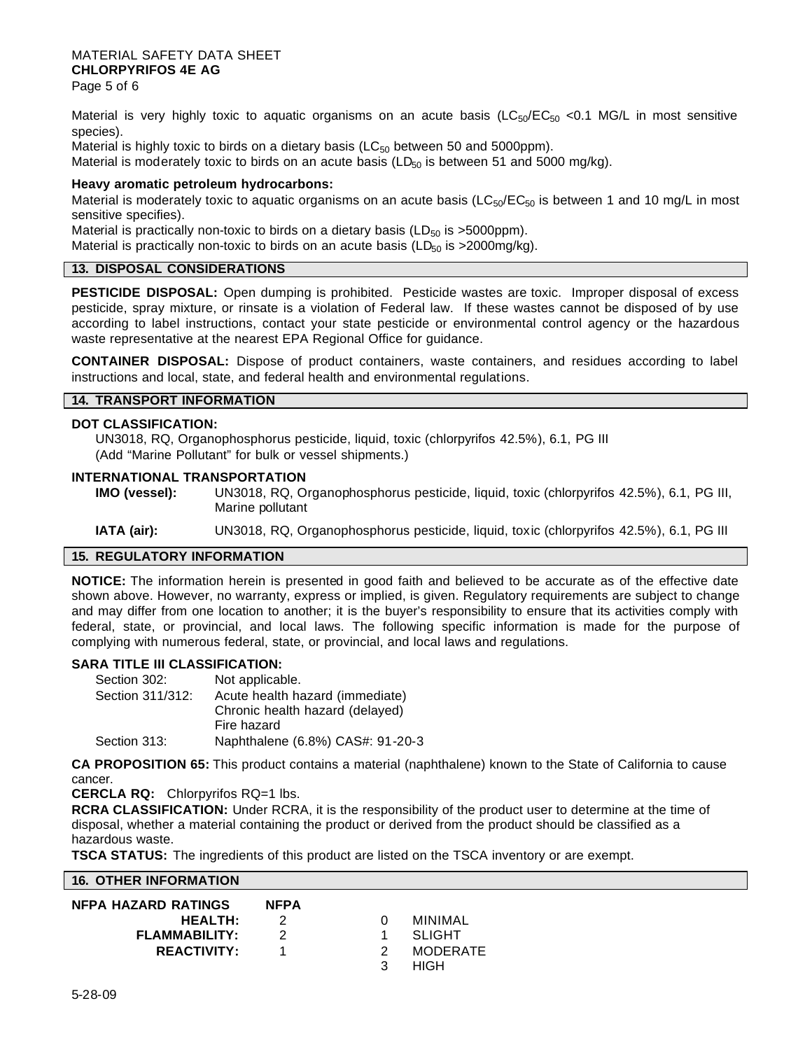## MATERIAL SAFETY DATA SHEET **CHLORPYRIFOS 4E AG**

Page 5 of 6

Material is very highly toxic to aquatic organisms on an acute basis ( $LC_{50}/EC_{50}$  <0.1 MG/L in most sensitive species).

Material is highly toxic to birds on a dietary basis ( $LC_{50}$  between 50 and 5000ppm).

Material is moderately toxic to birds on an acute basis (LD $_{50}$  is between 51 and 5000 mg/kg).

#### **Heavy aromatic petroleum hydrocarbons:**

Material is moderately toxic to aquatic organisms on an acute basis ( $LC_{50}/EC_{50}$  is between 1 and 10 mg/L in most sensitive specifies).

Material is practically non-toxic to birds on a dietary basis ( $LD_{50}$  is >5000ppm).

Material is practically non-toxic to birds on an acute basis ( $LD_{50}$  is  $>$ 2000mg/kg).

### **13. DISPOSAL CONSIDERATIONS**

**PESTICIDE DISPOSAL:** Open dumping is prohibited. Pesticide wastes are toxic. Improper disposal of excess pesticide, spray mixture, or rinsate is a violation of Federal law. If these wastes cannot be disposed of by use according to label instructions, contact your state pesticide or environmental control agency or the hazardous waste representative at the nearest EPA Regional Office for guidance.

**CONTAINER DISPOSAL:** Dispose of product containers, waste containers, and residues according to label instructions and local, state, and federal health and environmental regulations.

#### **14. TRANSPORT INFORMATION**

#### **DOT CLASSIFICATION:**

UN3018, RQ, Organophosphorus pesticide, liquid, toxic (chlorpyrifos 42.5%), 6.1, PG III (Add "Marine Pollutant" for bulk or vessel shipments.)

#### **INTERNATIONAL TRANSPORTATION**

**IMO (vessel):** UN3018, RQ, Organophosphorus pesticide, liquid, toxic (chlorpyrifos 42.5%), 6.1, PG III, Marine pollutant

**IATA (air):** UN3018, RQ, Organophosphorus pesticide, liquid, toxic (chlorpyrifos 42.5%), 6.1, PG III

## **15. REGULATORY INFORMATION**

**NOTICE:** The information herein is presented in good faith and believed to be accurate as of the effective date shown above. However, no warranty, express or implied, is given. Regulatory requirements are subject to change and may differ from one location to another; it is the buyer's responsibility to ensure that its activities comply with federal, state, or provincial, and local laws. The following specific information is made for the purpose of complying with numerous federal, state, or provincial, and local laws and regulations.

#### **SARA TITLE III CLASSIFICATION:**

| Not applicable.                  |
|----------------------------------|
| Acute health hazard (immediate)  |
| Chronic health hazard (delayed)  |
| Fire hazard                      |
| Naphthalene (6.8%) CAS#: 91-20-3 |
|                                  |

**CA PROPOSITION 65:** This product contains a material (naphthalene) known to the State of California to cause cancer.

**CERCLA RQ:** Chlorpyrifos RQ=1 lbs.

**RCRA CLASSIFICATION:** Under RCRA, it is the responsibility of the product user to determine at the time of disposal, whether a material containing the product or derived from the product should be classified as a hazardous waste.

**TSCA STATUS:** The ingredients of this product are listed on the TSCA inventory or are exempt.

#### **16. OTHER INFORMATION**

| NFPA HAZARD RATINGS | <b>NFPA</b> |                 |
|---------------------|-------------|-----------------|
| <b>HEALTH:</b>      |             | MINIMAL         |
| FLAMMABILITY:       |             | SLIGHT          |
| <b>REACTIVITY:</b>  |             | <b>MODERATE</b> |
|                     |             | HIGH            |